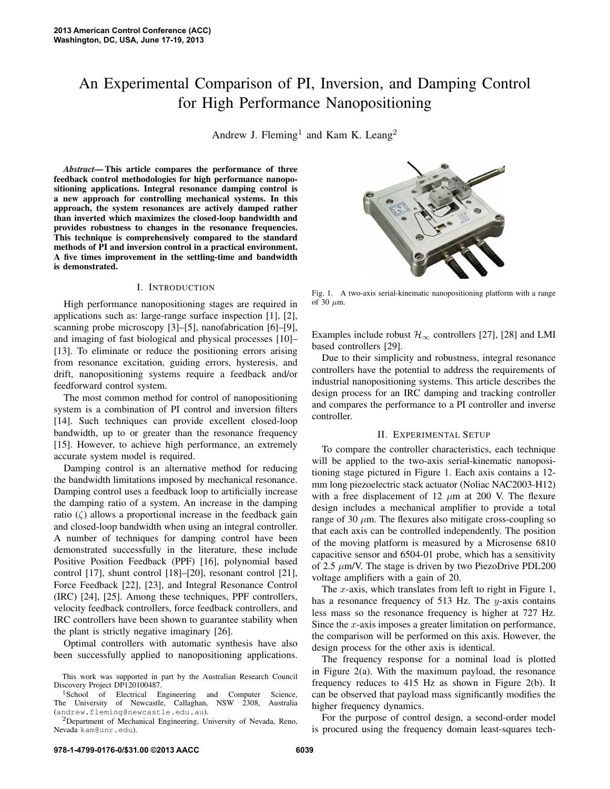# An Experimental Comparison of PI, Inversion, and Damping Control for High Performance Nanopositioning

Andrew J. Fleming<sup>1</sup> and Kam K. Leang<sup>2</sup>

*Abstract***—This article compares the performance of three feedback control methodologies for high performance nanopositioning applications. Integral resonance damping control is a new approach for controlling mechanical systems. In this approach, the system resonances are actively damped rather than inverted which maximizes the closed-loop bandwidth and provides robustness to changes in the resonance frequencies. This technique is comprehensively compared to the standard methods of PI and inversion control in a practical environment. A five times improvement in the settling-time and bandwidth is demonstrated.**

## I. INTRODUCTION

High performance nanopositioning stages are required in applications such as: large-range surface inspection [1], [2], scanning probe microscopy [3]–[5], nanofabrication [6]–[9], and imaging of fast biological and physical processes [10]– [13]. To eliminate or reduce the positioning errors arising from resonance excitation, guiding errors, hysteresis, and drift, nanopositioning systems require a feedback and/or feedforward control system.

The most common method for control of nanopositioning system is a combination of PI control and inversion filters [14]. Such techniques can provide excellent closed-loop bandwidth, up to or greater than the resonance frequency [15]. However, to achieve high performance, an extremely accurate system model is required.

Damping control is an alternative method for reducing the bandwidth limitations imposed by mechanical resonance. Damping control uses a feedback loop to artificially increase the damping ratio of a system. An increase in the damping ratio  $(\zeta)$  allows a proportional increase in the feedback gain and closed-loop bandwidth when using an integral controller. A number of techniques for damping control have been demonstrated successfully in the literature, these include Positive Position Feedback (PPF) [16], polynomial based control [17], shunt control [18]–[20], resonant control [21], Force Feedback [22], [23], and Integral Resonance Control (IRC) [24], [25]. Among these techniques, PPF controllers, velocity feedback controllers, force feedback controllers, and IRC controllers have been shown to guarantee stability when the plant is strictly negative imaginary [26].

Optimal controllers with automatic synthesis have also been successfully applied to nanopositioning applications.



Fig. 1. A two-axis serial-kinematic nanopositioning platform with a range of 30  $\mu$ m.

Examples include robust  $\mathcal{H}_{\infty}$  controllers [27], [28] and LMI based controllers [29].

Due to their simplicity and robustness, integral resonance controllers have the potential to address the requirements of industrial nanopositioning systems. This article describes the design process for an IRC damping and tracking controller and compares the performance to a PI controller and inverse controller.

## II. EXPERIMENTAL SETUP

To compare the controller characteristics, each technique will be applied to the two-axis serial-kinematic nanopositioning stage pictured in Figure 1. Each axis contains a 12 mm long piezoelectric stack actuator (Noliac NAC2003-H12) with a free displacement of 12  $\mu$ m at 200 V. The flexure design includes a mechanical amplifier to provide a total range of 30  $\mu$ m. The flexures also mitigate cross-coupling so that each axis can be controlled independently. The position of the moving platform is measured by a Microsense 6810 capacitive sensor and 6504-01 probe, which has a sensitivity of 2.5  $\mu$ m/V. The stage is driven by two PiezoDrive PDL200 voltage amplifiers with a gain of 20.

The  $x$ -axis, which translates from left to right in Figure 1, has a resonance frequency of 513 Hz. The  $y$ -axis contains less mass so the resonance frequency is higher at 727 Hz. Since the  $x$ -axis imposes a greater limitation on performance, the comparison will be performed on this axis. However, the design process for the other axis is identical.

The frequency response for a nominal load is plotted in Figure 2(a). With the maximum payload, the resonance frequency reduces to 415 Hz as shown in Figure 2(b). It can be observed that payload mass significantly modifies the higher frequency dynamics.

For the purpose of control design, a second-order model is procured using the frequency domain least-squares tech-

This work was supported in part by the Australian Research Council Discovery Project DP120100487.

<sup>&</sup>lt;sup>1</sup>School of Electrical Engineering and Computer Science, The University of Newcastle, Callaghan, NSW 2308, Australia (andrew.fleming@newcastle.edu.au).

 $2$ Department of Mechanical Engineering, University of Nevada, Reno, Nevada kam@unr.edu).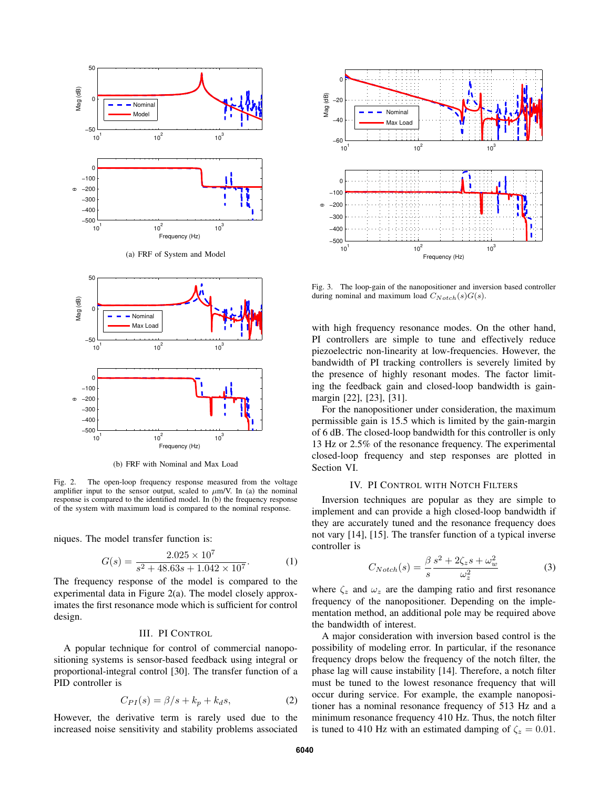

(a) FRF of System and Model



(b) FRF with Nominal and Max Load

Fig. 2. The open-loop frequency response measured from the voltage amplifier input to the sensor output, scaled to  $\mu$ m/V. In (a) the nominal response is compared to the identified model. In (b) the frequency response of the system with maximum load is compared to the nominal response.

niques. The model transfer function is:

$$
G(s) = \frac{2.025 \times 10^7}{s^2 + 48.63s + 1.042 \times 10^7}.
$$
 (1)

The frequency response of the model is compared to the experimental data in Figure 2(a). The model closely approximates the first resonance mode which is sufficient for control design.

#### III. PI CONTROL

A popular technique for control of commercial nanopositioning systems is sensor-based feedback using integral or proportional-integral control [30]. The transfer function of a PID controller is

$$
C_{PI}(s) = \beta/s + k_p + k_d s,\tag{2}
$$

However, the derivative term is rarely used due to the increased noise sensitivity and stability problems associated



Fig. 3. The loop-gain of the nanopositioner and inversion based controller during nominal and maximum load  $C_{Notch}(s)G(s)$ .

with high frequency resonance modes. On the other hand, PI controllers are simple to tune and effectively reduce piezoelectric non-linearity at low-frequencies. However, the bandwidth of PI tracking controllers is severely limited by the presence of highly resonant modes. The factor limiting the feedback gain and closed-loop bandwidth is gainmargin [22], [23], [31].

For the nanopositioner under consideration, the maximum permissible gain is 15.5 which is limited by the gain-margin of 6 dB. The closed-loop bandwidth for this controller is only 13 Hz or 2.5% of the resonance frequency. The experimental closed-loop frequency and step responses are plotted in Section VI.

## IV. PI CONTROL WITH NOTCH FILTERS

Inversion techniques are popular as they are simple to implement and can provide a high closed-loop bandwidth if they are accurately tuned and the resonance frequency does not vary [14], [15]. The transfer function of a typical inverse controller is

$$
C_{Notch}(s) = \frac{\beta}{s} \frac{s^2 + 2\zeta_z s + \omega_w^2}{\omega_z^2}
$$
 (3)

where  $\zeta_z$  and  $\omega_z$  are the damping ratio and first resonance frequency of the nanopositioner. Depending on the implementation method, an additional pole may be required above the bandwidth of interest.

A major consideration with inversion based control is the possibility of modeling error. In particular, if the resonance frequency drops below the frequency of the notch filter, the phase lag will cause instability [14]. Therefore, a notch filter must be tuned to the lowest resonance frequency that will occur during service. For example, the example nanopositioner has a nominal resonance frequency of 513 Hz and a minimum resonance frequency 410 Hz. Thus, the notch filter is tuned to 410 Hz with an estimated damping of  $\zeta_z = 0.01$ .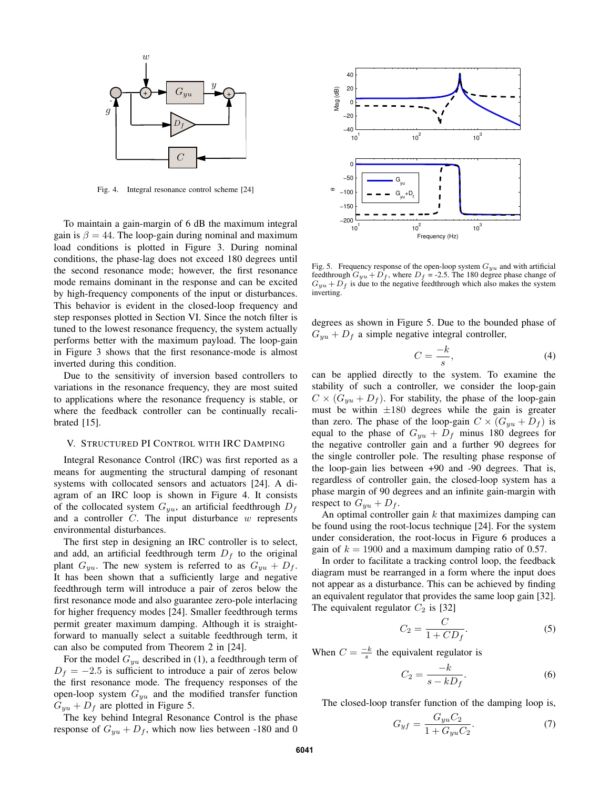

Fig. 4. Integral resonance control scheme [24]

To maintain a gain-margin of 6 dB the maximum integral gain is  $\beta = 44$ . The loop-gain during nominal and maximum load conditions is plotted in Figure 3. During nominal conditions, the phase-lag does not exceed 180 degrees until the second resonance mode; however, the first resonance mode remains dominant in the response and can be excited by high-frequency components of the input or disturbances. This behavior is evident in the closed-loop frequency and step responses plotted in Section VI. Since the notch filter is tuned to the lowest resonance frequency, the system actually performs better with the maximum payload. The loop-gain in Figure 3 shows that the first resonance-mode is almost inverted during this condition.

Due to the sensitivity of inversion based controllers to variations in the resonance frequency, they are most suited to applications where the resonance frequency is stable, or where the feedback controller can be continually recalibrated [15].

### V. STRUCTURED PI CONTROL WITH IRC DAMPING

Integral Resonance Control (IRC) was first reported as a means for augmenting the structural damping of resonant systems with collocated sensors and actuators [24]. A diagram of an IRC loop is shown in Figure 4. It consists of the collocated system  $G_{yu}$ , an artificial feedthrough  $D_f$ and a controller  $C$ . The input disturbance  $w$  represents environmental disturbances.

The first step in designing an IRC controller is to select, and add, an artificial feedthrough term  $D_f$  to the original plant  $G_{yu}$ . The new system is referred to as  $G_{yu} + D_f$ . It has been shown that a sufficiently large and negative feedthrough term will introduce a pair of zeros below the first resonance mode and also guarantee zero-pole interlacing for higher frequency modes [24]. Smaller feedthrough terms permit greater maximum damping. Although it is straightforward to manually select a suitable feedthrough term, it can also be computed from Theorem 2 in [24].

For the model  $G_{uu}$  described in (1), a feedthrough term of  $D_f = -2.5$  is sufficient to introduce a pair of zeros below the first resonance mode. The frequency responses of the open-loop system  $G_{yu}$  and the modified transfer function  $G_{yu} + D_f$  are plotted in Figure 5.

The key behind Integral Resonance Control is the phase response of  $G_{yu} + D_f$ , which now lies between -180 and 0



Fig. 5. Frequency response of the open-loop system  $G_{yu}$  and with artificial feedthrough  $G_{yu} + D_f$ , where  $D_f = -2.5$ . The 180 degree phase change of  $G_{yu} + D_f$  is due to the negative feedthrough which also makes the system inverting.

degrees as shown in Figure 5. Due to the bounded phase of  $G_{yu} + D_f$  a simple negative integral controller,

$$
C = \frac{-k}{s},\tag{4}
$$

can be applied directly to the system. To examine the stability of such a controller, we consider the loop-gain  $C \times (G_{yu} + D_f)$ . For stability, the phase of the loop-gain must be within  $\pm 180$  degrees while the gain is greater than zero. The phase of the loop-gain  $C \times (G_{yu} + D_f)$  is equal to the phase of  $G_{yu} + D_f$  minus 180 degrees for the negative controller gain and a further 90 degrees for the single controller pole. The resulting phase response of the loop-gain lies between +90 and -90 degrees. That is, regardless of controller gain, the closed-loop system has a phase margin of 90 degrees and an infinite gain-margin with respect to  $G_{yu} + D_f$ .

An optimal controller gain  $k$  that maximizes damping can be found using the root-locus technique [24]. For the system under consideration, the root-locus in Figure 6 produces a gain of  $k = 1900$  and a maximum damping ratio of 0.57.

In order to facilitate a tracking control loop, the feedback diagram must be rearranged in a form where the input does not appear as a disturbance. This can be achieved by finding an equivalent regulator that provides the same loop gain [32]. The equivalent regulator  $C_2$  is [32]

$$
C_2 = \frac{C}{1 + CD_f}.\tag{5}
$$

When  $C = \frac{-k}{s}$  the equivalent regulator is

$$
C_2 = \frac{-k}{s - kD_f}.\tag{6}
$$

The closed-loop transfer function of the damping loop is,

$$
G_{yf} = \frac{G_{yu}C_2}{1 + G_{yu}C_2}.
$$
 (7)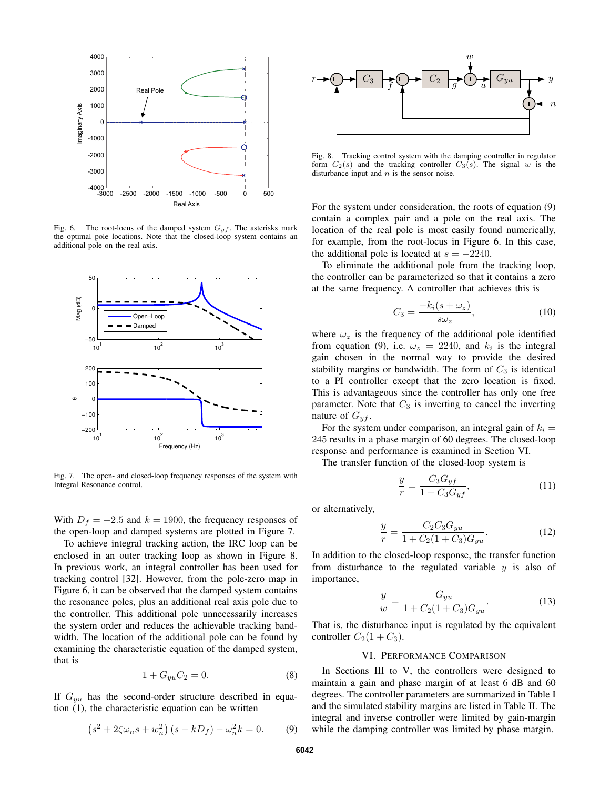

Fig. 6. The root-locus of the damped system  $G_{\nu f}$ . The asterisks mark the optimal pole locations. Note that the closed-loop system contains an additional pole on the real axis.



Fig. 7. The open- and closed-loop frequency responses of the system with Integral Resonance control.

With  $D_f = -2.5$  and  $k = 1900$ , the frequency responses of the open-loop and damped systems are plotted in Figure 7.

To achieve integral tracking action, the IRC loop can be enclosed in an outer tracking loop as shown in Figure 8. In previous work, an integral controller has been used for tracking control [32]. However, from the pole-zero map in Figure 6, it can be observed that the damped system contains the resonance poles, plus an additional real axis pole due to the controller. This additional pole unnecessarily increases the system order and reduces the achievable tracking bandwidth. The location of the additional pole can be found by examining the characteristic equation of the damped system, that is

$$
1 + G_{yu} C_2 = 0.
$$
 (8)

If  $G_{uu}$  has the second-order structure described in equation (1), the characteristic equation can be written

$$
(s^{2} + 2\zeta\omega_{n}s + w_{n}^{2})(s - kD_{f}) - \omega_{n}^{2}k = 0.
$$
 (9)



Fig. 8. Tracking control system with the damping controller in regulator form  $C_2(s)$  and the tracking controller  $C_3(s)$ . The signal w is the disturbance input and  $n$  is the sensor noise.

For the system under consideration, the roots of equation (9) contain a complex pair and a pole on the real axis. The location of the real pole is most easily found numerically, for example, from the root-locus in Figure 6. In this case, the additional pole is located at  $s = -2240$ .

To eliminate the additional pole from the tracking loop, the controller can be parameterized so that it contains a zero at the same frequency. A controller that achieves this is

$$
C_3 = \frac{-k_i(s + \omega_z)}{s\omega_z},\tag{10}
$$

where  $\omega_z$  is the frequency of the additional pole identified from equation (9), i.e.  $\omega_z = 2240$ , and  $k_i$  is the integral gain chosen in the normal way to provide the desired stability margins or bandwidth. The form of  $C_3$  is identical to a PI controller except that the zero location is fixed. This is advantageous since the controller has only one free parameter. Note that  $C_3$  is inverting to cancel the inverting nature of  $G_{yf}$ .

For the system under comparison, an integral gain of  $k_i =$ 245 results in a phase margin of 60 degrees. The closed-loop response and performance is examined in Section VI.

The transfer function of the closed-loop system is

$$
\frac{y}{r} = \frac{C_3 G_{yf}}{1 + C_3 G_{yf}},\tag{11}
$$

or alternatively,

$$
\frac{y}{r} = \frac{C_2 C_3 G_{yu}}{1 + C_2 (1 + C_3) G_{yu}}.\tag{12}
$$

In addition to the closed-loop response, the transfer function from disturbance to the regulated variable  $y$  is also of importance,

$$
\frac{y}{w} = \frac{G_{yu}}{1 + C_2(1 + C_3)G_{yu}}.\tag{13}
$$

That is, the disturbance input is regulated by the equivalent controller  $C_2(1+C_3)$ .

#### VI. PERFORMANCE COMPARISON

In Sections III to V, the controllers were designed to maintain a gain and phase margin of at least 6 dB and 60 degrees. The controller parameters are summarized in Table I and the simulated stability margins are listed in Table II. The integral and inverse controller were limited by gain-margin while the damping controller was limited by phase margin.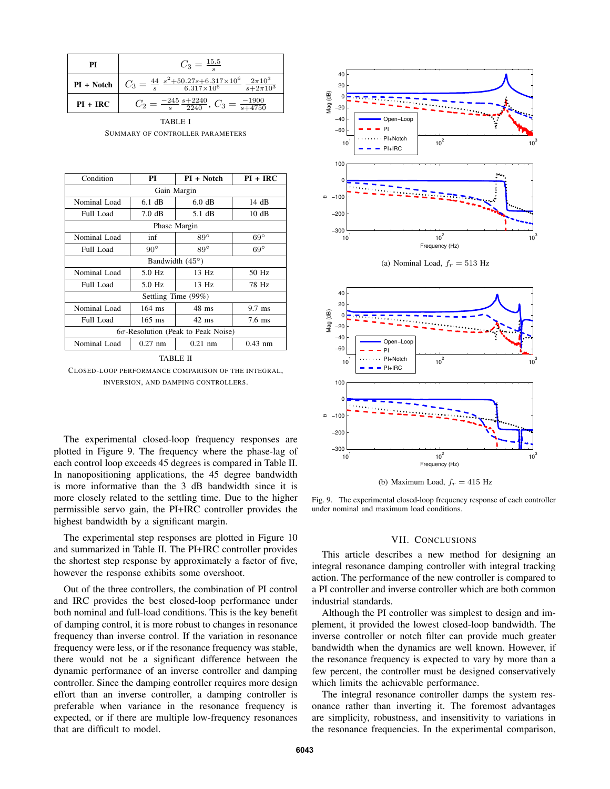| РI         | $C_3 = \frac{15.5}{s}$                                                                                          |  |  |  |
|------------|-----------------------------------------------------------------------------------------------------------------|--|--|--|
| PI + Notch | $C_3 = \frac{44}{s} \frac{s^2 + 50.27s + 6.317 \times 10^6}{6.317 \times 10^6} \frac{2\pi 10^3}{s + 2\pi 10^3}$ |  |  |  |
| $PI + IRC$ | $C_2 = \frac{-245}{s} \frac{s+2240}{2240}, C_3 = \frac{-1900}{s+4750}$                                          |  |  |  |
| TARLE I    |                                                                                                                 |  |  |  |

SUMMARY OF CONTROLLER PARAMETERS

| Condition                                  | РI           | PI + Notch | $PI + IRC$       |  |
|--------------------------------------------|--------------|------------|------------------|--|
| Gain Margin                                |              |            |                  |  |
| Nominal Load                               | $6.1$ dB     | 6.0 dB     | 14 dB            |  |
| Full Load                                  | 7.0 dB       | $5.1$ dB   | 10dB             |  |
| Phase Margin                               |              |            |                  |  |
| Nominal Load                               | inf          | $89^\circ$ | $69^\circ$       |  |
| Full Load                                  | $90^{\circ}$ | $89^\circ$ | $69^\circ$       |  |
| Bandwidth $(45^{\circ})$                   |              |            |                  |  |
| Nominal Load                               | 5.0 Hz       | 13 Hz      | 50 Hz            |  |
| Full Load                                  | 5.0 Hz       | $13$ Hz    | 78 Hz            |  |
| Settling Time (99%)                        |              |            |                  |  |
| Nominal Load                               | $164$ ms     | $48$ ms    | $9.7 \text{ ms}$ |  |
| Full Load                                  | $165$ ms     | $42$ ms    | $7.6$ ms         |  |
| $6\sigma$ -Resolution (Peak to Peak Noise) |              |            |                  |  |
| Nominal Load                               | $0.27$ nm    | $0.21$ nm  | $0.43$ nm        |  |

TABLE II CLOSED-LOOP PERFORMANCE COMPARISON OF THE INTEGRAL, INVERSION, AND DAMPING CONTROLLERS.

The experimental closed-loop frequency responses are plotted in Figure 9. The frequency where the phase-lag of each control loop exceeds 45 degrees is compared in Table II. In nanopositioning applications, the 45 degree bandwidth is more informative than the 3 dB bandwidth since it is more closely related to the settling time. Due to the higher permissible servo gain, the PI+IRC controller provides the highest bandwidth by a significant margin.

The experimental step responses are plotted in Figure 10 and summarized in Table II. The PI+IRC controller provides the shortest step response by approximately a factor of five, however the response exhibits some overshoot.

Out of the three controllers, the combination of PI control and IRC provides the best closed-loop performance under both nominal and full-load conditions. This is the key benefit of damping control, it is more robust to changes in resonance frequency than inverse control. If the variation in resonance frequency were less, or if the resonance frequency was stable, there would not be a significant difference between the dynamic performance of an inverse controller and damping controller. Since the damping controller requires more design effort than an inverse controller, a damping controller is preferable when variance in the resonance frequency is expected, or if there are multiple low-frequency resonances that are difficult to model.



(b) Maximum Load,  $f_r = 415$  Hz

Fig. 9. The experimental closed-loop frequency response of each controller under nominal and maximum load conditions.

## VII. CONCLUSIONS

This article describes a new method for designing an integral resonance damping controller with integral tracking action. The performance of the new controller is compared to a PI controller and inverse controller which are both common industrial standards.

Although the PI controller was simplest to design and implement, it provided the lowest closed-loop bandwidth. The inverse controller or notch filter can provide much greater bandwidth when the dynamics are well known. However, if the resonance frequency is expected to vary by more than a few percent, the controller must be designed conservatively which limits the achievable performance.

The integral resonance controller damps the system resonance rather than inverting it. The foremost advantages are simplicity, robustness, and insensitivity to variations in the resonance frequencies. In the experimental comparison,